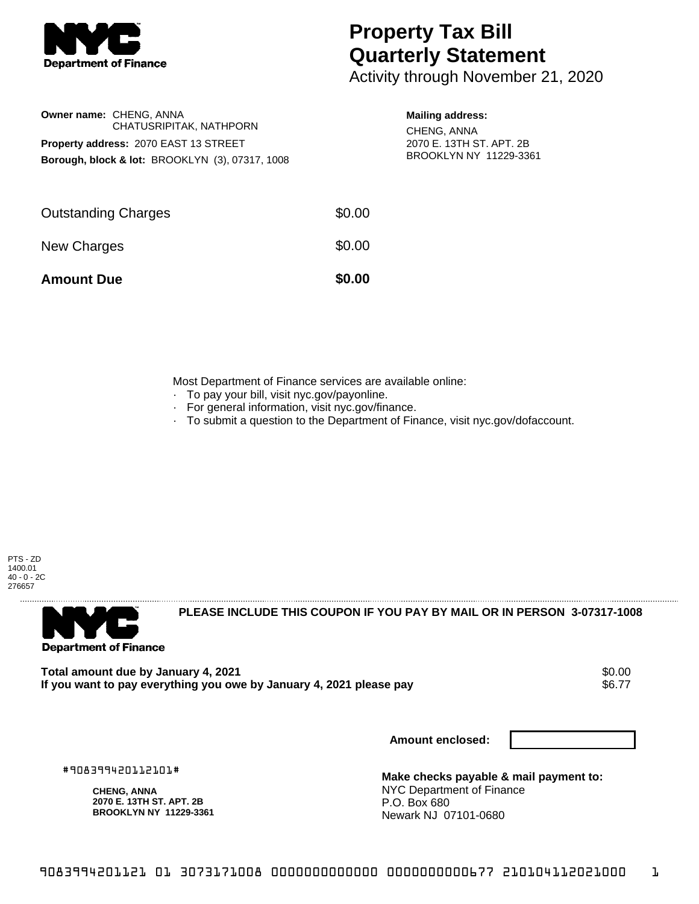

## **Property Tax Bill Quarterly Statement**

Activity through November 21, 2020

|                                       | <b>Owner name: CHENG, ANNA</b><br>CHATUSRIPITAK, NATHPORN  |  |  |  |
|---------------------------------------|------------------------------------------------------------|--|--|--|
| Property address: 2070 EAST 13 STREET |                                                            |  |  |  |
|                                       | <b>Borough, block &amp; lot: BROOKLYN (3), 07317, 1008</b> |  |  |  |

## **Mailing address:**

CHENG, ANNA 2070 E. 13TH ST. APT. 2B BROOKLYN NY 11229-3361

| <b>Amount Due</b>          | \$0.00 |
|----------------------------|--------|
| New Charges                | \$0.00 |
| <b>Outstanding Charges</b> | \$0.00 |

Most Department of Finance services are available online:

- · To pay your bill, visit nyc.gov/payonline.
- For general information, visit nyc.gov/finance.
- · To submit a question to the Department of Finance, visit nyc.gov/dofaccount.

PTS - ZD 1400.01 40 - 0 - 2C 276657



**PLEASE INCLUDE THIS COUPON IF YOU PAY BY MAIL OR IN PERSON 3-07317-1008** 

Total amount due by January 4, 2021<br>If you want to pay everything you owe by January 4. 2021 please pay **show that the set of the set of the set of** If you want to pay everything you owe by January 4, 2021 please pay

**Amount enclosed:**

#908399420112101#

**CHENG, ANNA 2070 E. 13TH ST. APT. 2B BROOKLYN NY 11229-3361**

**Make checks payable & mail payment to:** NYC Department of Finance P.O. Box 680 Newark NJ 07101-0680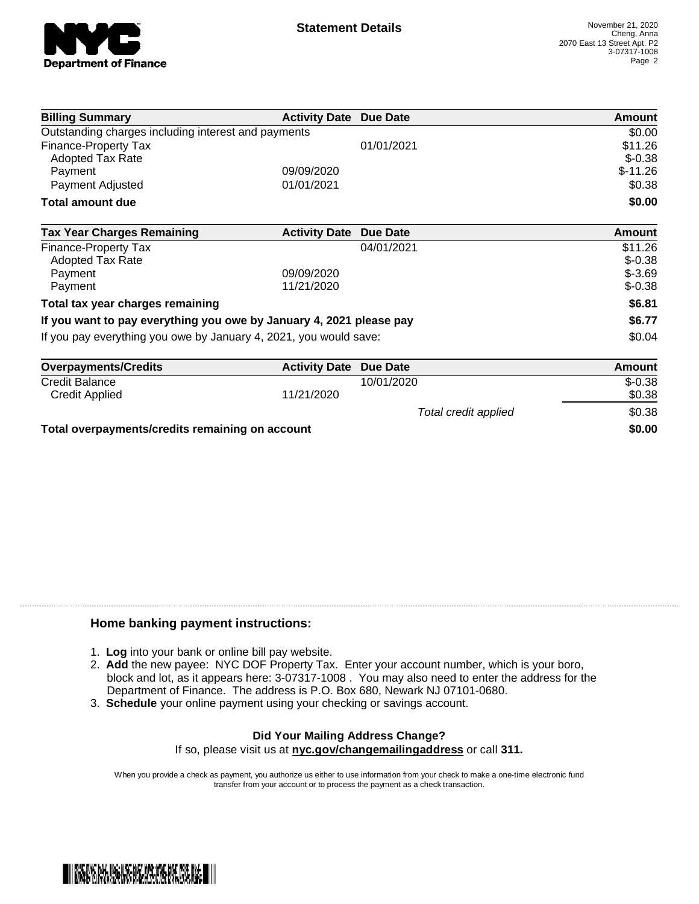

| <b>Billing Summary</b>                                              | <b>Activity Date Due Date</b> |                      | Amount        |
|---------------------------------------------------------------------|-------------------------------|----------------------|---------------|
| Outstanding charges including interest and payments                 |                               |                      | \$0.00        |
| <b>Finance-Property Tax</b>                                         |                               | 01/01/2021           | \$11.26       |
| <b>Adopted Tax Rate</b>                                             |                               |                      | $$-0.38$      |
| Payment                                                             | 09/09/2020                    |                      | $$-11.26$     |
| Payment Adjusted                                                    | 01/01/2021                    |                      | \$0.38        |
| <b>Total amount due</b>                                             |                               |                      | \$0.00        |
| <b>Tax Year Charges Remaining</b>                                   | <b>Activity Date</b>          | Due Date             | <b>Amount</b> |
| <b>Finance-Property Tax</b>                                         |                               | 04/01/2021           | \$11.26       |
| <b>Adopted Tax Rate</b>                                             |                               |                      | $$-0.38$      |
| Payment                                                             | 09/09/2020                    |                      | $$-3.69$      |
| Payment                                                             | 11/21/2020                    |                      | $$-0.38$      |
| Total tax year charges remaining                                    |                               |                      | \$6.81        |
| If you want to pay everything you owe by January 4, 2021 please pay |                               |                      | \$6.77        |
| If you pay everything you owe by January 4, 2021, you would save:   |                               |                      | \$0.04        |
| <b>Overpayments/Credits</b>                                         | <b>Activity Date</b>          | Due Date             | <b>Amount</b> |
| Credit Balance                                                      |                               | 10/01/2020           | $$-0.38$      |
| <b>Credit Applied</b>                                               | 11/21/2020                    |                      | \$0.38        |
|                                                                     |                               | Total credit applied | \$0.38        |

**Total overpayments/credits remaining on account \$0.00**

## **Home banking payment instructions:**

- 1. **Log** into your bank or online bill pay website.
- 2. **Add** the new payee: NYC DOF Property Tax. Enter your account number, which is your boro, block and lot, as it appears here: 3-07317-1008 . You may also need to enter the address for the Department of Finance. The address is P.O. Box 680, Newark NJ 07101-0680.
- 3. **Schedule** your online payment using your checking or savings account.

## **Did Your Mailing Address Change?**

If so, please visit us at **nyc.gov/changemailingaddress** or call **311.**

When you provide a check as payment, you authorize us either to use information from your check to make a one-time electronic fund transfer from your account or to process the payment as a check transaction.